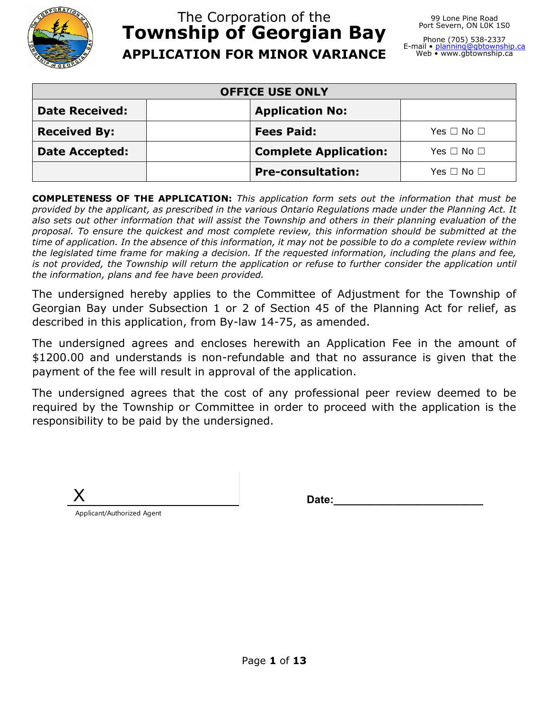

# The Corporation of the **Township of Georgian Bay APPLICATION FOR MINOR VARIANCE**

99 Lone Pine Road Port Severn, ON L0K 1S0

Phone (705) 538-2337 E-mail • <u>[planning@gbtownship.ca](mailto:planning@gbtownship.ca)</u><br>Web • www.gbtownship.ca

| <b>OFFICE USE ONLY</b>                                                        |                          |                      |  |  |
|-------------------------------------------------------------------------------|--------------------------|----------------------|--|--|
| <b>Date Received:</b><br><b>Application No:</b>                               |                          |                      |  |  |
| <b>Received By:</b><br><b>Fees Paid:</b><br>Yes $\Box$ No $\Box$              |                          |                      |  |  |
| <b>Complete Application:</b><br><b>Date Accepted:</b><br>Yes $\Box$ No $\Box$ |                          |                      |  |  |
|                                                                               | <b>Pre-consultation:</b> | Yes $\Box$ No $\Box$ |  |  |

**COMPLETENESS OF THE APPLICATION:** *This application form sets out the information that must be provided by the applicant, as prescribed in the various Ontario Regulations made under the Planning Act. It also sets out other information that will assist the Township and others in their planning evaluation of the proposal. To ensure the quickest and most complete review, this information should be submitted at the time of application. In the absence of this information, it may not be possible to do a complete review within the legislated time frame for making a decision. If the requested information, including the plans and fee, is not provided, the Township will return the application or refuse to further consider the application until the information, plans and fee have been provided.*

The undersigned hereby applies to the Committee of Adjustment for the Township of Georgian Bay under Subsection 1 or 2 of Section 45 of the Planning Act for relief, as described in this application, from By-law 14-75, as amended.

The undersigned agrees and encloses herewith an Application Fee in the amount of \$1200.00 and understands is non-refundable and that no assurance is given that the payment of the fee will result in approval of the application.

The undersigned agrees that the cost of any professional peer review deemed to be required by the Township or Committee in order to proceed with the application is the responsibility to be paid by the undersigned.

| ੱ ∌ |  |
|-----|--|
|     |  |

Date:

Applicant/Authorized Agent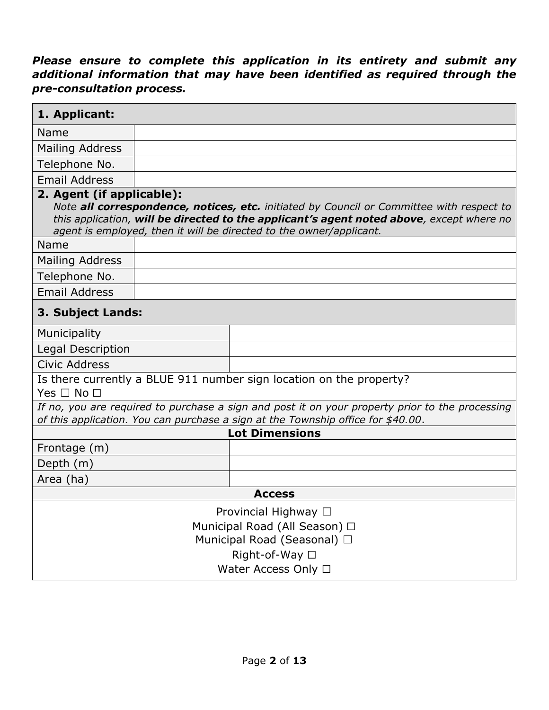### *Please ensure to complete this application in its entirety and submit any additional information that may have been identified as required through the pre-consultation process.*

| 1. Applicant:                                                                                                                                                                       |  |                                                                                                                                                                                                                                                             |  |
|-------------------------------------------------------------------------------------------------------------------------------------------------------------------------------------|--|-------------------------------------------------------------------------------------------------------------------------------------------------------------------------------------------------------------------------------------------------------------|--|
| <b>Name</b>                                                                                                                                                                         |  |                                                                                                                                                                                                                                                             |  |
| <b>Mailing Address</b>                                                                                                                                                              |  |                                                                                                                                                                                                                                                             |  |
| Telephone No.                                                                                                                                                                       |  |                                                                                                                                                                                                                                                             |  |
| <b>Email Address</b>                                                                                                                                                                |  |                                                                                                                                                                                                                                                             |  |
| 2. Agent (if applicable):                                                                                                                                                           |  | Note all correspondence, notices, etc. initiated by Council or Committee with respect to<br>this application, will be directed to the applicant's agent noted above, except where no<br>agent is employed, then it will be directed to the owner/applicant. |  |
| Name                                                                                                                                                                                |  |                                                                                                                                                                                                                                                             |  |
| Mailing Address                                                                                                                                                                     |  |                                                                                                                                                                                                                                                             |  |
| Telephone No.                                                                                                                                                                       |  |                                                                                                                                                                                                                                                             |  |
| <b>Email Address</b>                                                                                                                                                                |  |                                                                                                                                                                                                                                                             |  |
| 3. Subject Lands:                                                                                                                                                                   |  |                                                                                                                                                                                                                                                             |  |
| Municipality                                                                                                                                                                        |  |                                                                                                                                                                                                                                                             |  |
| Legal Description                                                                                                                                                                   |  |                                                                                                                                                                                                                                                             |  |
| <b>Civic Address</b>                                                                                                                                                                |  |                                                                                                                                                                                                                                                             |  |
| Yes $\Box$ No $\Box$                                                                                                                                                                |  | Is there currently a BLUE 911 number sign location on the property?                                                                                                                                                                                         |  |
| If no, you are required to purchase a sign and post it on your property prior to the processing<br>of this application. You can purchase a sign at the Township office for \$40.00. |  |                                                                                                                                                                                                                                                             |  |
|                                                                                                                                                                                     |  | <b>Lot Dimensions</b>                                                                                                                                                                                                                                       |  |
| Frontage (m)                                                                                                                                                                        |  |                                                                                                                                                                                                                                                             |  |
| Depth (m)                                                                                                                                                                           |  |                                                                                                                                                                                                                                                             |  |
| Area (ha)                                                                                                                                                                           |  |                                                                                                                                                                                                                                                             |  |
| <b>Access</b>                                                                                                                                                                       |  |                                                                                                                                                                                                                                                             |  |
| Provincial Highway □                                                                                                                                                                |  |                                                                                                                                                                                                                                                             |  |
| Municipal Road (All Season) □                                                                                                                                                       |  |                                                                                                                                                                                                                                                             |  |
| Municipal Road (Seasonal) □                                                                                                                                                         |  |                                                                                                                                                                                                                                                             |  |
| Right-of-Way □                                                                                                                                                                      |  |                                                                                                                                                                                                                                                             |  |
| Water Access Only □                                                                                                                                                                 |  |                                                                                                                                                                                                                                                             |  |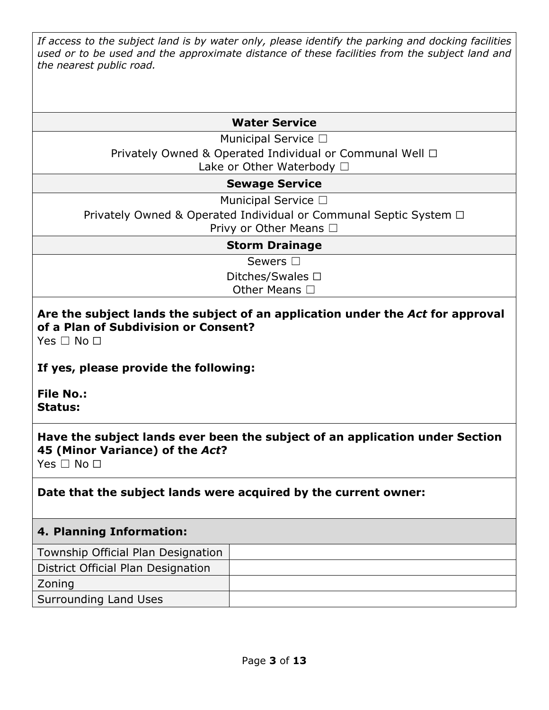*If access to the subject land is by water only, please identify the parking and docking facilities used or to be used and the approximate distance of these facilities from the subject land and the nearest public road.*

#### **Water Service**

Municipal Service □

Privately Owned & Operated Individual or Communal Well □

Lake or Other Waterbody □

#### **Sewage Service**

Municipal Service □

Privately Owned & Operated Individual or Communal Septic System □

Privy or Other Means □

#### **Storm Drainage**

Sewers □

Ditches/Swales □ Other Means □

# **Are the subject lands the subject of an application under the** *Act* **for approval of a Plan of Subdivision or Consent?**

Yes □ No □

### **If yes, please provide the following:**

**File No.: Status:**

## **Have the subject lands ever been the subject of an application under Section 45 (Minor Variance) of the** *Act***?**

Yes □ No □

## **Date that the subject lands were acquired by the current owner:**

### **4. Planning Information:**

Township Official Plan Designation

District Official Plan Designation

#### Zoning

Surrounding Land Uses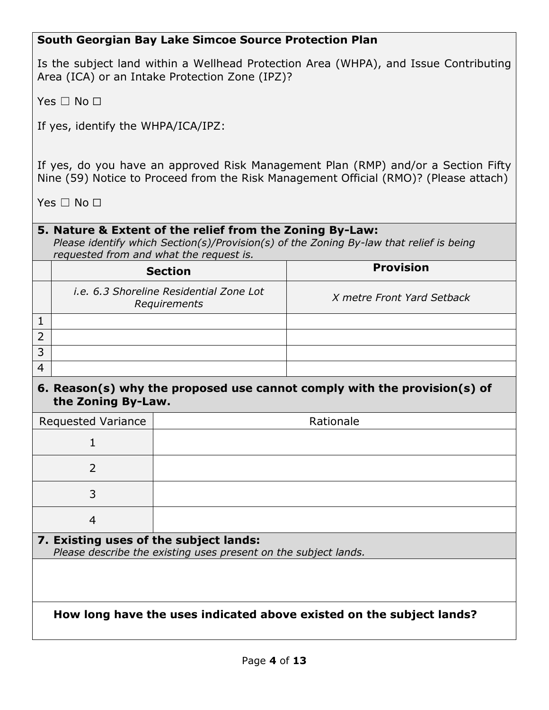### **South Georgian Bay Lake Simcoe Source Protection Plan**

Is the subject land within a Wellhead Protection Area (WHPA), and Issue Contributing Area (ICA) or an Intake Protection Zone (IPZ)?

Yes □ No □

If yes, identify the WHPA/ICA/IPZ:

If yes, do you have an approved Risk Management Plan (RMP) and/or a Section Fifty Nine (59) Notice to Proceed from the Risk Management Official (RMO)? (Please attach)

Yes □ No □

#### **5. Nature & Extent of the relief from the Zoning By-Law:**

*Please identify which Section(s)/Provision(s) of the Zoning By-law that relief is being requested from and what the request is.*

|   | <b>Section</b>                                                 | <b>Provision</b>           |
|---|----------------------------------------------------------------|----------------------------|
|   | <i>i.e.</i> 6.3 Shoreline Residential Zone Lot<br>Requirements | X metre Front Yard Setback |
|   |                                                                |                            |
| າ |                                                                |                            |
| 3 |                                                                |                            |
|   |                                                                |                            |

#### **6. Reason(s) why the proposed use cannot comply with the provision(s) of the Zoning By-Law.**

| <b>Requested Variance</b>                                            | Rationale                                                       |  |
|----------------------------------------------------------------------|-----------------------------------------------------------------|--|
|                                                                      |                                                                 |  |
| 2                                                                    |                                                                 |  |
| 3                                                                    |                                                                 |  |
| $\overline{4}$                                                       |                                                                 |  |
| 7. Existing uses of the subject lands:                               | Please describe the existing uses present on the subject lands. |  |
|                                                                      |                                                                 |  |
|                                                                      |                                                                 |  |
| How long have the uses indicated above existed on the subject lands? |                                                                 |  |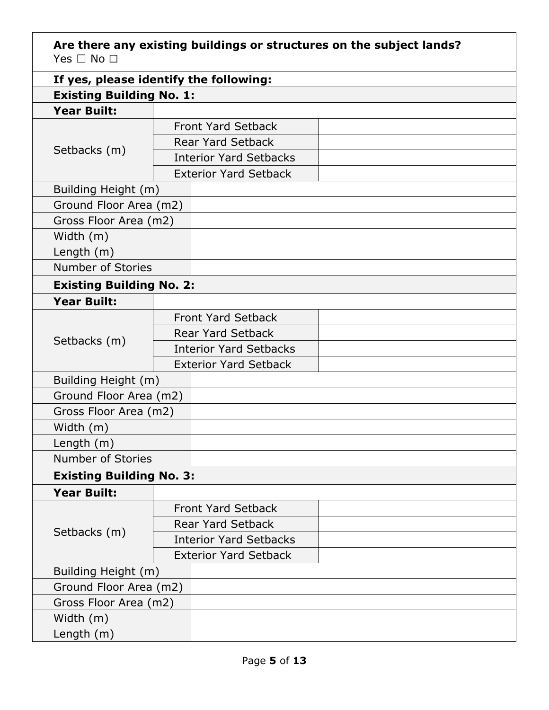**Are there any existing buildings or structures on the subject lands?** Yes □ No □

| If yes, please identify the following: |                               |                               |  |  |
|----------------------------------------|-------------------------------|-------------------------------|--|--|
| <b>Existing Building No. 1:</b>        |                               |                               |  |  |
| <b>Year Built:</b>                     |                               |                               |  |  |
|                                        |                               | <b>Front Yard Setback</b>     |  |  |
| Setbacks (m)                           |                               | <b>Rear Yard Setback</b>      |  |  |
|                                        |                               | <b>Interior Yard Setbacks</b> |  |  |
|                                        |                               | <b>Exterior Yard Setback</b>  |  |  |
| Building Height (m)                    |                               |                               |  |  |
| Ground Floor Area (m2)                 |                               |                               |  |  |
| Gross Floor Area (m2)                  |                               |                               |  |  |
| Width (m)                              |                               |                               |  |  |
| Length $(m)$                           |                               |                               |  |  |
| Number of Stories                      |                               |                               |  |  |
| <b>Existing Building No. 2:</b>        |                               |                               |  |  |
| <b>Year Built:</b>                     |                               |                               |  |  |
|                                        |                               | <b>Front Yard Setback</b>     |  |  |
|                                        | <b>Rear Yard Setback</b>      |                               |  |  |
| Setbacks (m)                           | <b>Interior Yard Setbacks</b> |                               |  |  |
|                                        | <b>Exterior Yard Setback</b>  |                               |  |  |
| Building Height (m)                    |                               |                               |  |  |
| Ground Floor Area (m2)                 |                               |                               |  |  |
| Gross Floor Area (m2)                  |                               |                               |  |  |
| Width (m)                              |                               |                               |  |  |
| Length $(m)$                           |                               |                               |  |  |
| <b>Number of Stories</b>               |                               |                               |  |  |
| <b>Existing Building No. 3:</b>        |                               |                               |  |  |
| <b>Year Built:</b>                     |                               |                               |  |  |
|                                        |                               | <b>Front Yard Setback</b>     |  |  |
|                                        |                               | <b>Rear Yard Setback</b>      |  |  |
| Setbacks (m)                           |                               | <b>Interior Yard Setbacks</b> |  |  |
|                                        | <b>Exterior Yard Setback</b>  |                               |  |  |
| Building Height (m)                    |                               |                               |  |  |
| Ground Floor Area (m2)                 |                               |                               |  |  |
| Gross Floor Area (m2)                  |                               |                               |  |  |
| Width (m)                              |                               |                               |  |  |
| Length $(m)$                           |                               |                               |  |  |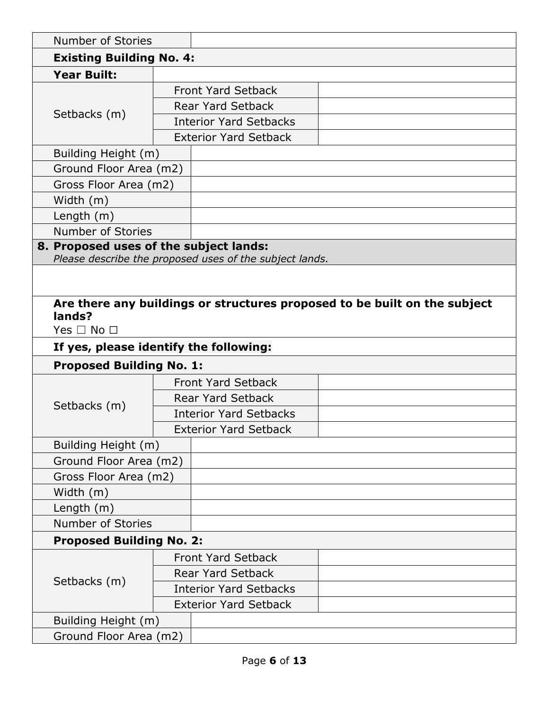| <b>Number of Stories</b>               |  |                                                         |                                                                           |  |
|----------------------------------------|--|---------------------------------------------------------|---------------------------------------------------------------------------|--|
| <b>Existing Building No. 4:</b>        |  |                                                         |                                                                           |  |
| <b>Year Built:</b>                     |  |                                                         |                                                                           |  |
|                                        |  | <b>Front Yard Setback</b>                               |                                                                           |  |
|                                        |  | <b>Rear Yard Setback</b>                                |                                                                           |  |
| Setbacks (m)                           |  | <b>Interior Yard Setbacks</b>                           |                                                                           |  |
|                                        |  | <b>Exterior Yard Setback</b>                            |                                                                           |  |
| Building Height (m)                    |  |                                                         |                                                                           |  |
| Ground Floor Area (m2)                 |  |                                                         |                                                                           |  |
| Gross Floor Area (m2)                  |  |                                                         |                                                                           |  |
| Width (m)                              |  |                                                         |                                                                           |  |
| Length $(m)$                           |  |                                                         |                                                                           |  |
| <b>Number of Stories</b>               |  |                                                         |                                                                           |  |
| 8. Proposed uses of the subject lands: |  |                                                         |                                                                           |  |
|                                        |  | Please describe the proposed uses of the subject lands. |                                                                           |  |
|                                        |  |                                                         |                                                                           |  |
|                                        |  |                                                         | Are there any buildings or structures proposed to be built on the subject |  |
| lands?                                 |  |                                                         |                                                                           |  |
| Yes $\Box$ No $\Box$                   |  |                                                         |                                                                           |  |
| If yes, please identify the following: |  |                                                         |                                                                           |  |
|                                        |  |                                                         |                                                                           |  |
| <b>Proposed Building No. 1:</b>        |  |                                                         |                                                                           |  |
|                                        |  | <b>Front Yard Setback</b>                               |                                                                           |  |
|                                        |  | <b>Rear Yard Setback</b>                                |                                                                           |  |
| Setbacks (m)                           |  | <b>Interior Yard Setbacks</b>                           |                                                                           |  |
|                                        |  | <b>Exterior Yard Setback</b>                            |                                                                           |  |
| Building Height (m)                    |  |                                                         |                                                                           |  |
| Ground Floor Area (m2)                 |  |                                                         |                                                                           |  |
| Gross Floor Area (m2)                  |  |                                                         |                                                                           |  |
| Width (m)                              |  |                                                         |                                                                           |  |
| Length (m)                             |  |                                                         |                                                                           |  |
| <b>Number of Stories</b>               |  |                                                         |                                                                           |  |
| <b>Proposed Building No. 2:</b>        |  |                                                         |                                                                           |  |
|                                        |  | <b>Front Yard Setback</b>                               |                                                                           |  |
|                                        |  | <b>Rear Yard Setback</b>                                |                                                                           |  |
| Setbacks (m)                           |  | <b>Interior Yard Setbacks</b>                           |                                                                           |  |
|                                        |  | <b>Exterior Yard Setback</b>                            |                                                                           |  |
| Building Height (m)                    |  |                                                         |                                                                           |  |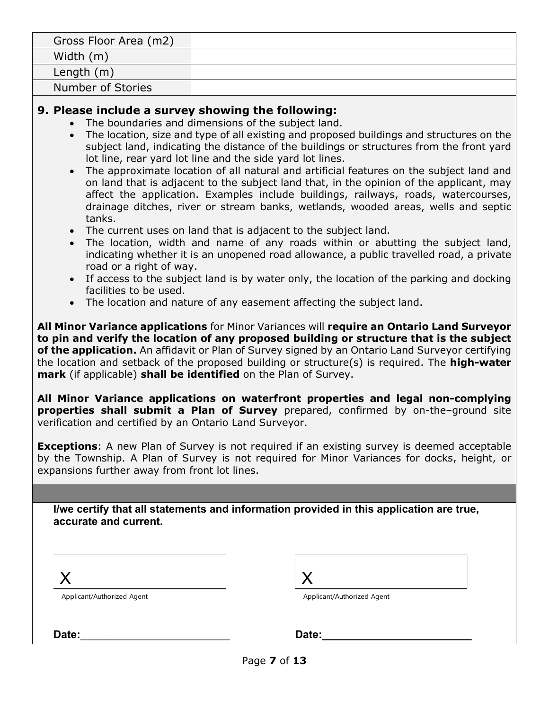| Gross Floor Area (m2) |  |
|-----------------------|--|
| Width (m)             |  |
| Length $(m)$          |  |
| Number of Stories     |  |

#### **9. Please include a survey showing the following:**

- The boundaries and dimensions of the subject land.
- The location, size and type of all existing and proposed buildings and structures on the subject land, indicating the distance of the buildings or structures from the front yard lot line, rear yard lot line and the side yard lot lines.
- The approximate location of all natural and artificial features on the subject land and on land that is adjacent to the subject land that, in the opinion of the applicant, may affect the application. Examples include buildings, railways, roads, watercourses, drainage ditches, river or stream banks, wetlands, wooded areas, wells and septic tanks.
- The current uses on land that is adjacent to the subject land.
- The location, width and name of any roads within or abutting the subject land, indicating whether it is an unopened road allowance, a public travelled road, a private road or a right of way.
- If access to the subject land is by water only, the location of the parking and docking facilities to be used.
- The location and nature of any easement affecting the subject land.

**All Minor Variance applications** for Minor Variances will **require an Ontario Land Surveyor to pin and verify the location of any proposed building or structure that is the subject of the application.** An affidavit or Plan of Survey signed by an Ontario Land Surveyor certifying the location and setback of the proposed building or structure(s) is required. The **high-water mark** (if applicable) **shall be identified** on the Plan of Survey.

**All Minor Variance applications on waterfront properties and legal non-complying properties shall submit a Plan of Survey** prepared, confirmed by on-the–ground site verification and certified by an Ontario Land Surveyor.

**Exceptions**: A new Plan of Survey is not required if an existing survey is deemed acceptable by the Township. A Plan of Survey is not required for Minor Variances for docks, height, or expansions further away from front lot lines.

**I/we certify that all statements and information provided in this application are true, accurate and current.**

X

Applicant/Authorized Agent

| Applicant/Authorized Agent |  |
|----------------------------|--|

| Date<br>- - - |  |
|---------------|--|
|               |  |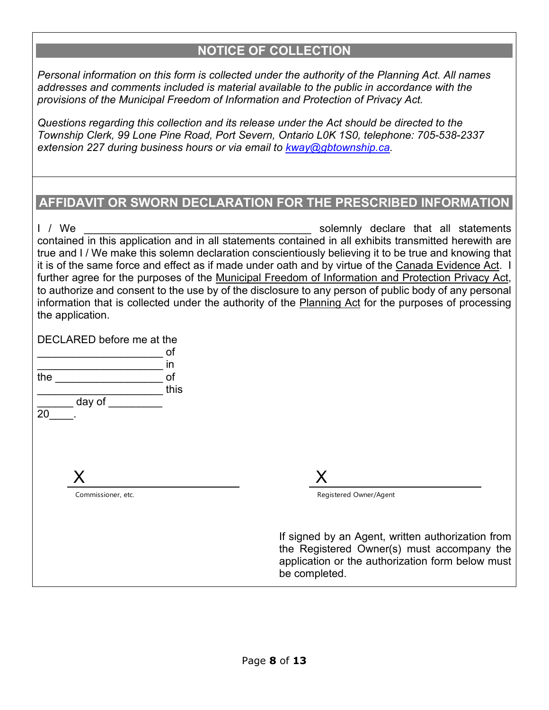## **NOTICE OF COLLECTION**

*Personal information on this form is collected under the authority of the Planning Act. All names addresses and comments included is material available to the public in accordance with the provisions of the Municipal Freedom of Information and Protection of Privacy Act.* 

*Questions regarding this collection and its release under the Act should be directed to the Township Clerk, 99 Lone Pine Road, Port Severn, Ontario L0K 1S0, telephone: 705-538-2337 extension 227 during business hours or via email to [kway@gbtownship.ca.](mailto:kway@gbtownship.ca)* 

## **AFFIDAVIT OR SWORN DECLARATION FOR THE PRESCRIBED INFORMATION**

I / We **EXECUTE:** The solemnly declare that all statements contained in this application and in all statements contained in all exhibits transmitted herewith are true and I / We make this solemn declaration conscientiously believing it to be true and knowing that it is of the same force and effect as if made under oath and by virtue of the Canada Evidence Act. I further agree for the purposes of the Municipal Freedom of Information and Protection Privacy Act, to authorize and consent to the use by of the disclosure to any person of public body of any personal information that is collected under the authority of the Planning Act for the purposes of processing the application.

DECLARED before me at the

|     |                    | of   |
|-----|--------------------|------|
|     |                    | in   |
| the |                    | of   |
|     |                    | this |
|     |                    |      |
|     | day of             |      |
| 20  |                    |      |
|     |                    |      |
|     |                    |      |
|     |                    |      |
|     |                    |      |
|     | X                  |      |
|     |                    |      |
|     | Commissioner, etc. |      |
|     |                    |      |
|     |                    |      |
|     |                    |      |
|     |                    |      |
|     |                    |      |
|     |                    |      |

 $\overline{\mathsf{X}}$ 

Registered Owner/Agent

If signed by an Agent, written authorization from the Registered Owner(s) must accompany the application or the authorization form below must be completed.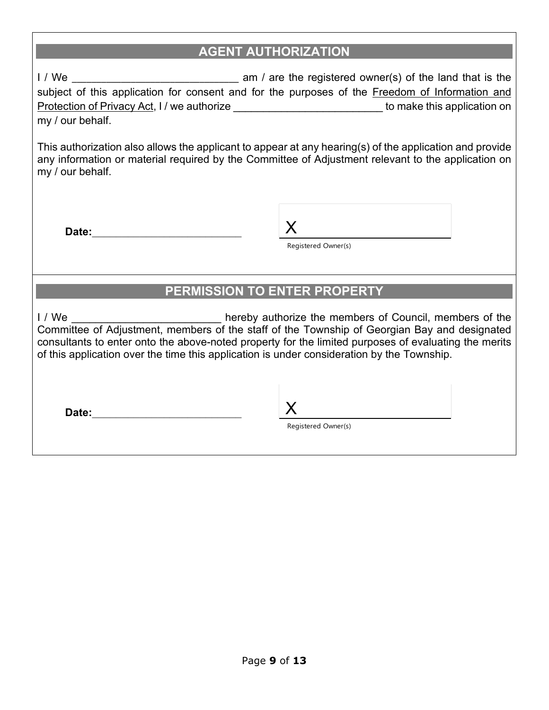## **AGENT AUTHORIZATION**

I / We \_\_\_\_\_\_\_\_\_\_\_\_\_\_\_\_\_\_\_\_\_\_\_\_\_\_\_\_\_\_\_\_\_\_ am / are the registered owner(s) of the land that is the subject of this application for consent and for the purposes of the Freedom of Information and Protection of Privacy Act, I / we authorize \_\_\_\_\_\_\_\_\_\_\_\_\_\_\_\_\_\_\_\_\_\_\_\_\_\_\_\_\_\_\_ to make this application on my / our behalf.

This authorization also allows the applicant to appear at any hearing(s) of the application and provide any information or material required by the Committee of Adjustment relevant to the application on my / our behalf.

**Date:** 

Registered Owner(s)

## **PERMISSION TO ENTER PROPERTY**

I / We **I** and the members of Council, members of the Committee of Adjustment, members of the staff of the Township of Georgian Bay and designated consultants to enter onto the above-noted property for the limited purposes of evaluating the merits of this application over the time this application is under consideration by the Township.

Date:  $\qquad \qquad \times$ 

Registered Owner(s)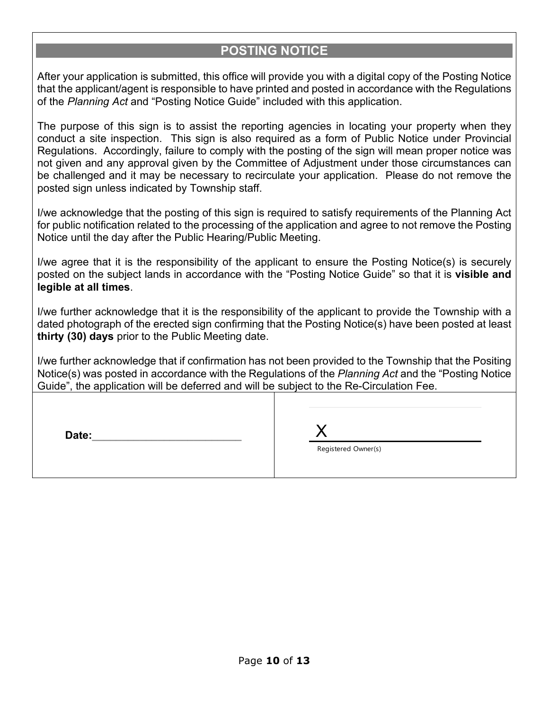## **POSTING NOTICE**

After your application is submitted, this office will provide you with a digital copy of the Posting Notice that the applicant/agent is responsible to have printed and posted in accordance with the Regulations of the *Planning Act* and "Posting Notice Guide" included with this application.

The purpose of this sign is to assist the reporting agencies in locating your property when they conduct a site inspection. This sign is also required as a form of Public Notice under Provincial Regulations. Accordingly, failure to comply with the posting of the sign will mean proper notice was not given and any approval given by the Committee of Adjustment under those circumstances can be challenged and it may be necessary to recirculate your application. Please do not remove the posted sign unless indicated by Township staff.

I/we acknowledge that the posting of this sign is required to satisfy requirements of the Planning Act for public notification related to the processing of the application and agree to not remove the Posting Notice until the day after the Public Hearing/Public Meeting.

I/we agree that it is the responsibility of the applicant to ensure the Posting Notice(s) is securely posted on the subject lands in accordance with the "Posting Notice Guide" so that it is **visible and legible at all times**.

I/we further acknowledge that it is the responsibility of the applicant to provide the Township with a dated photograph of the erected sign confirming that the Posting Notice(s) have been posted at least **thirty (30) days** prior to the Public Meeting date.

I/we further acknowledge that if confirmation has not been provided to the Township that the Positing Notice(s) was posted in accordance with the Regulations of the *Planning Act* and the "Posting Notice Guide", the application will be deferred and will be subject to the Re-Circulation Fee.

| Date: |                     |
|-------|---------------------|
|       | Registered Owner(s) |
|       |                     |
|       |                     |
|       |                     |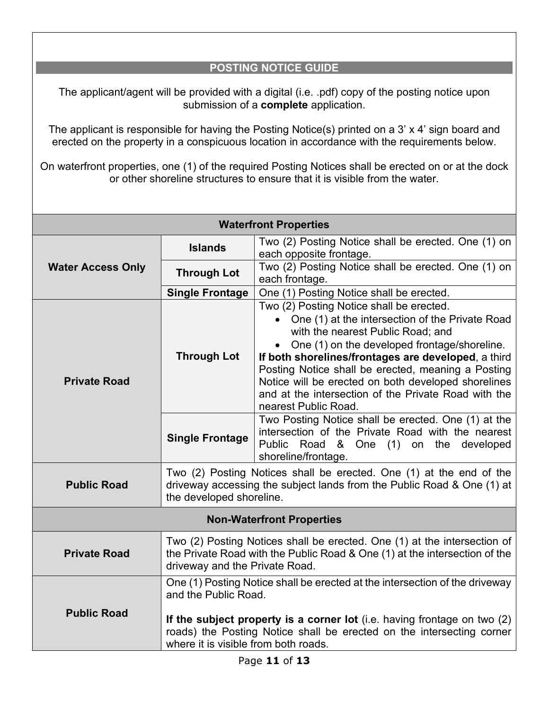## **POSTING NOTICE GUIDE**

The applicant/agent will be provided with a digital (i.e. .pdf) copy of the posting notice upon submission of a **complete** application.

The applicant is responsible for having the Posting Notice(s) printed on a 3' x 4' sign board and erected on the property in a conspicuous location in accordance with the requirements below.

On waterfront properties, one (1) of the required Posting Notices shall be erected on or at the dock or other shoreline structures to ensure that it is visible from the water.

| <b>Waterfront Properties</b>     |                                                                                                                                                                                          |                                                                                                                                                                                                                                                                                                                                                                                                                                      |  |
|----------------------------------|------------------------------------------------------------------------------------------------------------------------------------------------------------------------------------------|--------------------------------------------------------------------------------------------------------------------------------------------------------------------------------------------------------------------------------------------------------------------------------------------------------------------------------------------------------------------------------------------------------------------------------------|--|
| <b>Water Access Only</b>         | <b>Islands</b>                                                                                                                                                                           | Two (2) Posting Notice shall be erected. One (1) on<br>each opposite frontage.                                                                                                                                                                                                                                                                                                                                                       |  |
|                                  | <b>Through Lot</b>                                                                                                                                                                       | Two (2) Posting Notice shall be erected. One (1) on<br>each frontage.                                                                                                                                                                                                                                                                                                                                                                |  |
|                                  | <b>Single Frontage</b>                                                                                                                                                                   | One (1) Posting Notice shall be erected.                                                                                                                                                                                                                                                                                                                                                                                             |  |
| <b>Private Road</b>              | <b>Through Lot</b>                                                                                                                                                                       | Two (2) Posting Notice shall be erected.<br>One (1) at the intersection of the Private Road<br>with the nearest Public Road; and<br>One (1) on the developed frontage/shoreline.<br>If both shorelines/frontages are developed, a third<br>Posting Notice shall be erected, meaning a Posting<br>Notice will be erected on both developed shorelines<br>and at the intersection of the Private Road with the<br>nearest Public Road. |  |
|                                  | <b>Single Frontage</b>                                                                                                                                                                   | Two Posting Notice shall be erected. One (1) at the<br>intersection of the Private Road with the nearest<br>Public Road & One (1)<br>on the developed<br>shoreline/frontage.                                                                                                                                                                                                                                                         |  |
| <b>Public Road</b>               | Two (2) Posting Notices shall be erected. One (1) at the end of the<br>driveway accessing the subject lands from the Public Road & One (1) at<br>the developed shoreline.                |                                                                                                                                                                                                                                                                                                                                                                                                                                      |  |
| <b>Non-Waterfront Properties</b> |                                                                                                                                                                                          |                                                                                                                                                                                                                                                                                                                                                                                                                                      |  |
| <b>Private Road</b>              | Two (2) Posting Notices shall be erected. One (1) at the intersection of<br>the Private Road with the Public Road & One (1) at the intersection of the<br>driveway and the Private Road. |                                                                                                                                                                                                                                                                                                                                                                                                                                      |  |
| <b>Public Road</b>               | and the Public Road.<br>where it is visible from both roads.                                                                                                                             | One (1) Posting Notice shall be erected at the intersection of the driveway<br>If the subject property is a corner lot (i.e. having frontage on two (2)<br>roads) the Posting Notice shall be erected on the intersecting corner                                                                                                                                                                                                     |  |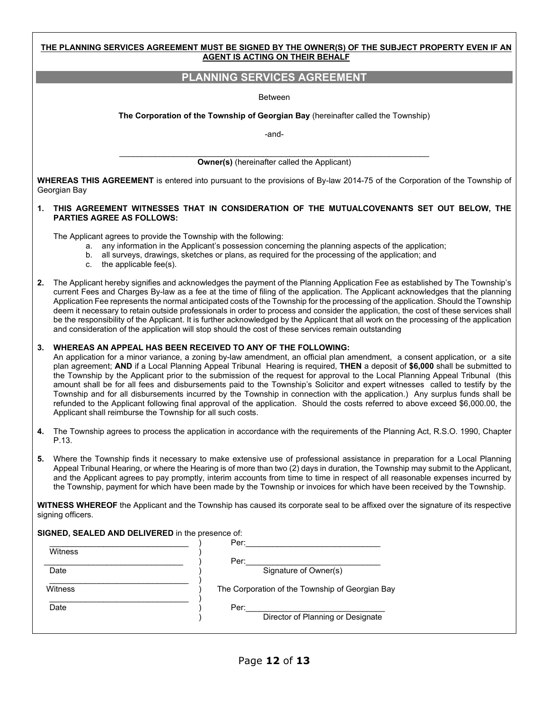|    | <u>THE PLANNING SERVICES AGREEMENT MUST BE SIGNED BY THE OWNER(S) OF THE SUBJECT PROPERTY EVEN IF AN</u><br><b>AGENT IS ACTING ON THEIR BEHALF</b>                                                                                                                                                                                                                                                                                                                                                                                                                                                                                                                                                                                                                                                                                                                                                                              |  |  |
|----|---------------------------------------------------------------------------------------------------------------------------------------------------------------------------------------------------------------------------------------------------------------------------------------------------------------------------------------------------------------------------------------------------------------------------------------------------------------------------------------------------------------------------------------------------------------------------------------------------------------------------------------------------------------------------------------------------------------------------------------------------------------------------------------------------------------------------------------------------------------------------------------------------------------------------------|--|--|
|    | PLANNING SERVICES AGREEMENT                                                                                                                                                                                                                                                                                                                                                                                                                                                                                                                                                                                                                                                                                                                                                                                                                                                                                                     |  |  |
|    | <b>Between</b>                                                                                                                                                                                                                                                                                                                                                                                                                                                                                                                                                                                                                                                                                                                                                                                                                                                                                                                  |  |  |
|    | The Corporation of the Township of Georgian Bay (hereinafter called the Township)                                                                                                                                                                                                                                                                                                                                                                                                                                                                                                                                                                                                                                                                                                                                                                                                                                               |  |  |
|    | -and-                                                                                                                                                                                                                                                                                                                                                                                                                                                                                                                                                                                                                                                                                                                                                                                                                                                                                                                           |  |  |
|    | <b>Owner(s)</b> (hereinafter called the Applicant)                                                                                                                                                                                                                                                                                                                                                                                                                                                                                                                                                                                                                                                                                                                                                                                                                                                                              |  |  |
|    | WHEREAS THIS AGREEMENT is entered into pursuant to the provisions of By-law 2014-75 of the Corporation of the Township of                                                                                                                                                                                                                                                                                                                                                                                                                                                                                                                                                                                                                                                                                                                                                                                                       |  |  |
|    | Georgian Bay                                                                                                                                                                                                                                                                                                                                                                                                                                                                                                                                                                                                                                                                                                                                                                                                                                                                                                                    |  |  |
| 1. | THIS AGREEMENT WITNESSES THAT IN CONSIDERATION OF THE MUTUALCOVENANTS SET OUT BELOW, THE<br><b>PARTIES AGREE AS FOLLOWS:</b>                                                                                                                                                                                                                                                                                                                                                                                                                                                                                                                                                                                                                                                                                                                                                                                                    |  |  |
|    | The Applicant agrees to provide the Township with the following:<br>a. any information in the Applicant's possession concerning the planning aspects of the application;<br>b. all surveys, drawings, sketches or plans, as required for the processing of the application; and<br>c. the applicable fee(s).                                                                                                                                                                                                                                                                                                                                                                                                                                                                                                                                                                                                                    |  |  |
| 2. | The Applicant hereby signifies and acknowledges the payment of the Planning Application Fee as established by The Township's<br>current Fees and Charges By-law as a fee at the time of filing of the application. The Applicant acknowledges that the planning<br>Application Fee represents the normal anticipated costs of the Township for the processing of the application. Should the Township<br>deem it necessary to retain outside professionals in order to process and consider the application, the cost of these services shall<br>be the responsibility of the Applicant. It is further acknowledged by the Applicant that all work on the processing of the application<br>and consideration of the application will stop should the cost of these services remain outstanding                                                                                                                                  |  |  |
| 3. | WHEREAS AN APPEAL HAS BEEN RECEIVED TO ANY OF THE FOLLOWING:<br>An application for a minor variance, a zoning by-law amendment, an official plan amendment, a consent application, or a site<br>plan agreement; AND if a Local Planning Appeal Tribunal Hearing is required, THEN a deposit of \$6,000 shall be submitted to<br>the Township by the Applicant prior to the submission of the request for approval to the Local Planning Appeal Tribunal (this<br>amount shall be for all fees and disbursements paid to the Township's Solicitor and expert witnesses called to testify by the<br>Township and for all disbursements incurred by the Township in connection with the application.) Any surplus funds shall be<br>refunded to the Applicant following final approval of the application. Should the costs referred to above exceed \$6,000.00, the<br>Applicant shall reimburse the Township for all such costs. |  |  |
| 4. | The Township agrees to process the application in accordance with the requirements of the Planning Act, R.S.O. 1990, Chapter<br>P.13.                                                                                                                                                                                                                                                                                                                                                                                                                                                                                                                                                                                                                                                                                                                                                                                           |  |  |
| 5. | Where the Township finds it necessary to make extensive use of professional assistance in preparation for a Local Planning<br>Appeal Tribunal Hearing, or where the Hearing is of more than two (2) days in duration, the Township may submit to the Applicant,<br>and the Applicant agrees to pay promptly, interim accounts from time to time in respect of all reasonable expenses incurred by<br>the Township, payment for which have been made by the Township or invoices for which have been received by the Township.                                                                                                                                                                                                                                                                                                                                                                                                   |  |  |
|    | WITNESS WHEREOF the Applicant and the Township has caused its corporate seal to be affixed over the signature of its respective<br>signing officers.                                                                                                                                                                                                                                                                                                                                                                                                                                                                                                                                                                                                                                                                                                                                                                            |  |  |
|    | SIGNED, SEALED AND DELIVERED in the presence of:                                                                                                                                                                                                                                                                                                                                                                                                                                                                                                                                                                                                                                                                                                                                                                                                                                                                                |  |  |
|    | Witness                                                                                                                                                                                                                                                                                                                                                                                                                                                                                                                                                                                                                                                                                                                                                                                                                                                                                                                         |  |  |
|    | Per: Signature of Owner(s)<br>$Date$ <sup><math>-</math></sup>                                                                                                                                                                                                                                                                                                                                                                                                                                                                                                                                                                                                                                                                                                                                                                                                                                                                  |  |  |
|    | Witness<br>The Corporation of the Township of Georgian Bay                                                                                                                                                                                                                                                                                                                                                                                                                                                                                                                                                                                                                                                                                                                                                                                                                                                                      |  |  |
|    | Date<br>Per:<br>Director of Planning or Designate                                                                                                                                                                                                                                                                                                                                                                                                                                                                                                                                                                                                                                                                                                                                                                                                                                                                               |  |  |
|    |                                                                                                                                                                                                                                                                                                                                                                                                                                                                                                                                                                                                                                                                                                                                                                                                                                                                                                                                 |  |  |